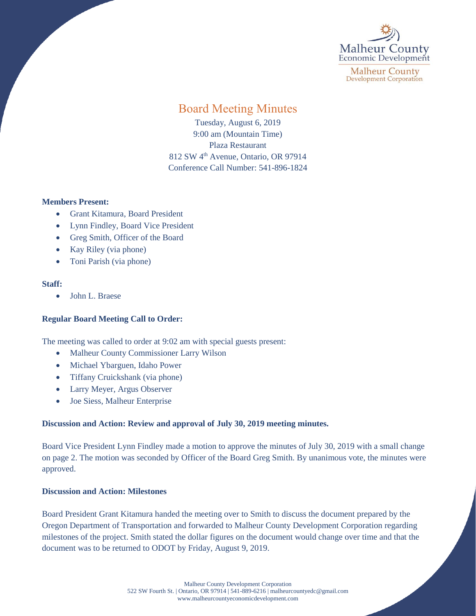

**Malheur County Development Corporation** 

# Board Meeting Minutes

Tuesday, August 6, 2019 9:00 am (Mountain Time) Plaza Restaurant 812 SW 4<sup>th</sup> Avenue, Ontario, OR 97914 Conference Call Number: 541-896-1824

#### **Members Present:**

- Grant Kitamura, Board President
- Lynn Findley, Board Vice President
- Greg Smith, Officer of the Board
- Kay Riley (via phone)
- Toni Parish (via phone)

#### **Staff:**

• John L. Braese

### **Regular Board Meeting Call to Order:**

The meeting was called to order at 9:02 am with special guests present:

- Malheur County Commissioner Larry Wilson
- Michael Ybarguen, Idaho Power
- Tiffany Cruickshank (via phone)
- Larry Meyer, Argus Observer
- Joe Siess, Malheur Enterprise

### **Discussion and Action: Review and approval of July 30, 2019 meeting minutes.**

Board Vice President Lynn Findley made a motion to approve the minutes of July 30, 2019 with a small change on page 2. The motion was seconded by Officer of the Board Greg Smith. By unanimous vote, the minutes were approved.

#### **Discussion and Action: Milestones**

Board President Grant Kitamura handed the meeting over to Smith to discuss the document prepared by the Oregon Department of Transportation and forwarded to Malheur County Development Corporation regarding milestones of the project. Smith stated the dollar figures on the document would change over time and that the document was to be returned to ODOT by Friday, August 9, 2019.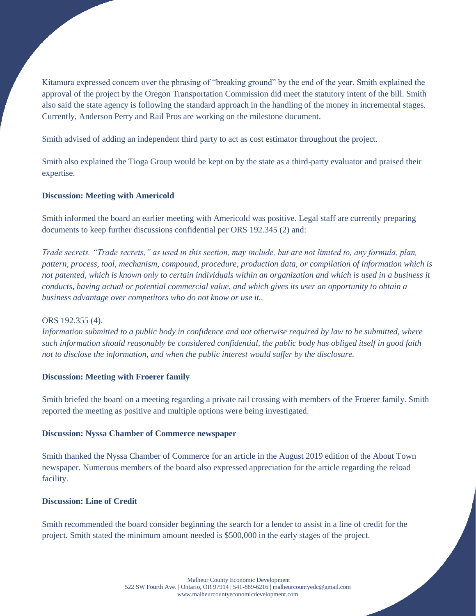Kitamura expressed concern over the phrasing of "breaking ground" by the end of the year. Smith explained the approval of the project by the Oregon Transportation Commission did meet the statutory intent of the bill. Smith also said the state agency is following the standard approach in the handling of the money in incremental stages. Currently, Anderson Perry and Rail Pros are working on the milestone document.

Smith advised of adding an independent third party to act as cost estimator throughout the project.

Smith also explained the Tioga Group would be kept on by the state as a third-party evaluator and praised their expertise.

## **Discussion: Meeting with Americold**

Smith informed the board an earlier meeting with Americold was positive. Legal staff are currently preparing documents to keep further discussions confidential per ORS 192.345 (2) and:

*Trade secrets. "Trade secrets," as used in this section, may include, but are not limited to, any formula, plan, pattern, process, tool, mechanism, compound, procedure, production data, or compilation of information which is not patented, which is known only to certain individuals within an organization and which is used in a business it conducts, having actual or potential commercial value, and which gives its user an opportunity to obtain a business advantage over competitors who do not know or use it..* 

### ORS 192.355 (4).

*Information submitted to a public body in confidence and not otherwise required by law to be submitted, where such information should reasonably be considered confidential, the public body has obliged itself in good faith not to disclose the information, and when the public interest would suffer by the disclosure.*

### **Discussion: Meeting with Froerer family**

Smith briefed the board on a meeting regarding a private rail crossing with members of the Froerer family. Smith reported the meeting as positive and multiple options were being investigated.

### **Discussion: Nyssa Chamber of Commerce newspaper**

Smith thanked the Nyssa Chamber of Commerce for an article in the August 2019 edition of the About Town newspaper. Numerous members of the board also expressed appreciation for the article regarding the reload facility.

## **Discussion: Line of Credit**

Smith recommended the board consider beginning the search for a lender to assist in a line of credit for the project. Smith stated the minimum amount needed is \$500,000 in the early stages of the project.